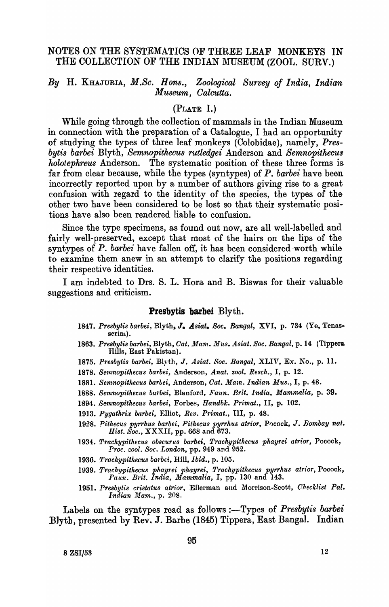## NOTES ON THE SYSTEMATICS OF THREE LEAF MONKEYS IN THE COLLECTION OF THE INDIAN MUSEUM (ZOOL. SURV.)

# *By* H. KHAJURIA, *M.So. Hons., Zoological Survey of India, Indian Museum, Oalcutta.*

### (PLATE I.)

While going through the collection of mammals in the Indian Museum in connection with the preparation of a Catalogue, I had an opportunity of studying the types of three leaf monkeys (Colobidae), namely, *Presby tis barbei* Blyth, *Semnopithecus rutledgei* Anderson and *Semnopithecus holotephreus* Anderson. The systematic position of these three forms is far from clear because, while the types (syntypes) of *P. barbei* have been incorrectly reported upon by a number of authors giving rise to a great confusion with regard to the identity of the species, the types of the other two have been considered to be lost so that their systematic positions have also been rendered liable to confusion.

Since the type specimens, as found. out now, are all well-labelled and fairly well-preserved, except that most of the hairs on the lips of the syntypes of *P. barbei* have fallen off, it has been considered worth while to examine them anew in an attempt to clarify the positions regarding their respective identities.

I am indebted to Drs. S. L. Hora and B. Biswas for their valuable suggestions and criticism.

#### Presbytis barbei Blyth.

- 1847. *Presby tis barbei,* Blyth, J. *Asiat. Soc. Ba'nt}al,* XVI, p. 734 (Ye, Tenasserin<sub>l</sub>).
- 1863. Presbytis barbei, Blyth, Cat. Mam. Mus. Asiat. Soc. Bangal, p. 14 (Tippera. Hills, East Pakistan).
- 1875. Presbytis barbei, Blyth, J. Asiat. Soc. Bangal, XLIV, Ex. No., p. 11.
- 1878. Semnopithecus barbei, Anderson, Anat. zool. Resch., I, p. 12.
- 1881. Semnopithecus barbei, Anderson, *Cat. Mam. Indian Mus.*, I, p. 48.
- 1888. Semnopithecus barbei, Blanford, *Faun. Brit. India, Mammalia*, p. 39.
- 1894. Semnopithecus barbei, Forbes, Handbk. Primat., II, p. 102.
- 1913. Pygathrix barbei, Elliot, Rev. Primat., III, p. 48.
- 1928. Pithecus pyrrhus barbei, Pithecus pyrrhus atrior, Pocock, J. *Bombay nat. Bist. Soc.,* XXXII, pp. 668 and 673.
- 1934. Trachypithecus obscurus barbei, Trachypithecus phayrei atrior, Pocock, *Proc. :001. Boc. London,* pp. 949 and 952.
- 1936. Trachypithecus barbei, Hill, *Ibid.*, p. 105.
- *1939. Pracnypithecus phayrei ph.lyrei, Trachypithecus pyrrhus atrior,* Pocock, *Faun. Brit. India, Mammalia,* I, pp. 130 and 143.
- 1951. Presbytis cristatus atrior, Ellerman and Morrison-Scott, *Checklist Pal. Indian Mam., p. 208.*

Labels on the syntypes read as follows :- Types of Presbytis barbei Blyth, presented by Rev. J. Barbe (1845) Tippera, East Bangal. Indian

 $8 \text{ ZSI}/53$  12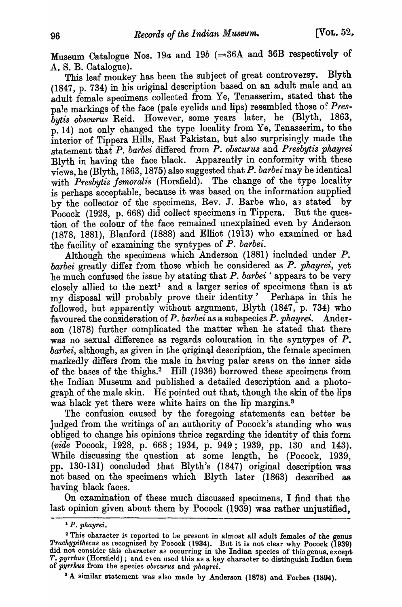Museum Catalogue Nos. 19a and 19b (=36A and 36B respectively of A. S. B. Catalogue).

This leaf monkey has been the subject of great controversy. Blyth (1847, p. 734) in his original description based on an adult male and an adult female specimens collected from Ye, Tenasserim, stated that the pa<sup>l</sup>e markings of the face (pale eyelids and lips) resembled those of Pres*by tis obscurus* Reid. However, some years later, he (Blyth, 1863, p. 14) not only changed the type locality from Ye, Tenasserim, to the interior of Tippera Hills, East Pakistan, but also surprisingly made the statement that *P. barbei* differed from *P. obscu'tus* and *Presby tis phayrei*  Blyth in having the face black. Apparently in conformity with these views, he (Blyth, 1863, 1875) also suggested that  $P$ . barbei may be identical with *Presbytis femoralis* (Horsfield). The change of the type locality is perhaps acceptable, because it was based on the information supplied by the collector of the specimens, Rev. J. Barbe who, as stated by Pocock (1928, p. 668) did collect specimens in Tippera. But the question of the colour of the face remained unexplained even by Anderson (1878, 1881), Blanford (1888) and Elliot (1913) who examined or had the facility of examining the syntypes of *P. barbei.* 

Although the specimens which Anderson (1881) included under P. *barbei* greatly differ from those which he considered as *P. phayrei,* yet 'he much confused the issue by stating that *P. barbei* ' appears to be very elosely allied to the next! and a larger series of specimens than is at my disposal will probably prove their identity' <sup>P</sup>erhaps in this he followed, but apparently without argument, Blyth (1847, p. 734) who favoured the consideration of *P. barbei* as a subspecies *P. phayrei.* Anderson (1878) further complicated the matter when he stated that there was no sexual difference as regards colouration in the syntypes of P. *barbei*, although, as given in the original description, the female specimen markedly differs from the male in having paler areas on the inner side of the bases of the thighs.<sup>2</sup> Hill (1936) borrowed these specimens from the Indian Museum and published a detailed description and a photograph of the male skin. He pointed out that, though the skin of the lips was black yet there were white hairs on the lip margins.<sup>3</sup>

The confusion caused by the foregoing statements can better be judged from the writings of an authority of Pocock's standing who was obliged to change his opinions thrice regarding the identity of this form *(vide* Pocock, 1928, p. 668; 1934, p. 949; 1939, pp. 130 and 143). While discussing the question at some length, he (Pocock, 1939, pp. 130-131) concluded that Blyth's (1847) original description was not based on the specimens which Blyth later (1863) described as having black faces.

On examination of these much discussed specimens, I find that the last opinion given about them by Pocock  $(1939)$  was rather unjustified.

<sup>3</sup> A similar statement was also made by Anderson (1878) and Forbes (1894).

<sup>1</sup>P. *phayrei.* 

 $2<sup>2</sup>$  This character is reported to be present in almost all adult females of the genus Trachypithecus as recognised by Pocock (1934). But it is not clear why Pocock (1939) did not consider this character as occurring in the Indian species of this genus, except T. pyrrhus (Horsheld); and even used this as a key character to distinguish Indian form ()f *pyrrku8* from the species *obsc'U.r'll8* and *plzayrei.* .)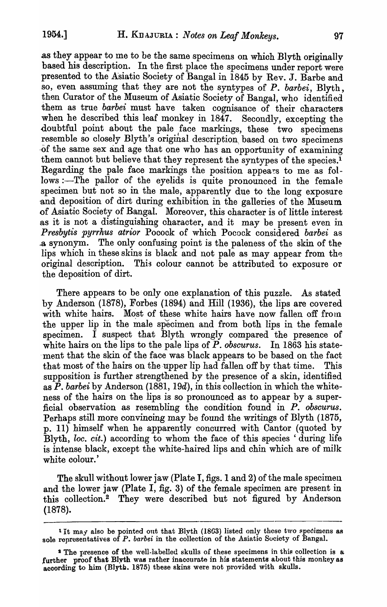as they appear to me to be the same specimens on which Blyth originally based his description. In the first place the specimens under report were presented to the Asiatic Society of Bangal in 1845 by Rev. J. Barbe and so, even assuming that they are not the syntypes of *P. barbei,* Blyth, then Curator of the Museum of Asiatic Society of Bangal, who identified them as true *barbei* must have taken cognisance of their characters when he described this leaf monkey in 1847. Secondly, excepting the doubtful point about the pale face markings, these two specimens resemble so closely Blyth's original description based on two specimens ·of the same sex and age that one who has an opportunity of examining them cannot but believe that they represent the syntypes of the species.<sup>1</sup> Regarding the pale face markings the position appears to me as follows :--The pallor of the eyelids is quite pronounced in the female specimen but not so in the male, apparently due to the long exposure and deposition of dirt during exhibition in the galleries of the Museum of Asiatic Society of Bangal. Moreover, this character is of little interest as it is not a distinguishing character, and it may be present even in Presbytis pyrrhus atrior Pocock of which Pocock considered barbei as .3 synonym. The only confusing point is the paleness of the skin of the lips which in these skins is black and not pale as may appear from the original description. This colour cannot be attributed to exposure or the deposition of dirt.

There appears to be only one explanation of this puzzle. As stated by Anderson (1878), Forbes (1894) and Hill (1936), the lips are covered with white hairs. Most of these white hairs have now fallen off from the upper lip in the male specimen and from both lips in the female specimen. I suspect that Blyth wrongly compared the presence of white hairs on the lips to the pale lips of  $\overrightarrow{P}$ . *obscurus.* In 1863 his statement that the skin of the face was black appears to be based on the fact that most of the hairs on the upper lip had fallen off by that time. This supposition is further strengthened by the presence of a skin, identified as  $\overline{P}$ . *barbei* by Anderson (1881, 19*d*), in this collection in which the whiteness of the hairs on the lips is so pronounced as to appear by a superficial observation as resembling the condition found in P. *obseurus.*  Perhaps still more convincing may be found the writings of Blyth (1875, p. 11) himself when he apparently concurred with Cantor (quoted by Blyth, *loe. cit.)* according to whom the face of this species ' during life is intense black, except the white-haired lips and chin which are of milk white colour.'

The skull without lower jaw (Plate I, figs. 1 and 2) of the male specimen and the lower jaw (Plate I, fig. 3) of the female specimen are present in this collection.<sup>2</sup> They were described but not figured by Anderson (1878).

<sup>&</sup>lt;sup>1</sup> It may also be pointed out that Blyth (1863) listed only these two specimens as sole representatives of *P. barbei* in the collection of the Asiatic Society of Bangal.

<sup>&</sup>lt;sup>1</sup> The presence of the well-labelled skulls of these specimens in this collection is a further proof that Blyth was rather inaccurate in his statements about this monkey as according to him (Blyth. 1875) these skins were not provided with skulls.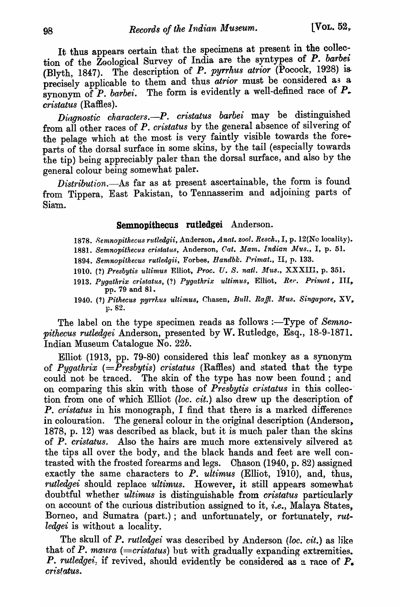It thus appears certain that the specimens at present in the collection of the Zoological Survey of India are the syntypes of *P. barbei* (Blyth, 1847). The description of P. pyrrhus atrior (Pocock, 1928) is precisely applicable to them and thus  $\vec{a}$ trior must be considered as a synonym of  $\overline{P}$ . *barbei*. The form is evidently a well-defined race of  $\overline{P}$ . *cristatus* (Raffies).

*Diagnostic characters.*--P. cristatus barbei may be distinguished from all other races of P. *cristatus* by the general absence of silvering of the pelage which at the most is very faintly visible towards the foreparts of the dorsal surface in some skins, by the tail (especially towards the tip) being appreciably paler than the dorsal surface, and also by the general colour being somewhat paler.

*Distribution.-As* far as at present ascertainable, the form is found from Tippera, East Pakistan, to Tennasserim and adjoining parts of Siam.

### Semnopithecus rutledgei Anderson.

- *1878. 8emnopithecus rutledgii,* Anderson, *Anat. zool. Resch.,* I, p. 12(No locality).
- 1881. Semnopithecus cristatus, Anderson, Cat. Mam. Indian Mus., I, p. 51.
- 1894. Semnopithecus rutledgii, Forbes, *Handbk. Primat.*, II, p. 133.
- 1910. (?) Presbytis ultimus Elliot, Proc. U. S. natl. Mus., XXXIII, p. 351.
- 1913. Pygathrix cristatus, (?) Pygathrix ultimus, Elliot, *Rer. Primat*, III, pp. 79 and 81.
- 1940. (?) Pithecus pyrrl:us ultimus, Chasen, Bull. Raffl. Mus. Singapore, XV.  $p. 82.$

The label on the type specimen reads as follows :-Type of *Semno-1n:thecus rutledgei* Anderson, presented by W. Rutledge, Esq., 18-9-1871. Indian Museum Catalogue No. *22b.* 

Elliot (1913, pp. 79-80) considered this leaf monkey as a synonym of *Pygathrix (=Presbytis) cristatus* (Raffies) and stated that the type could not be traced. The skin of the type has now been found; and 011 comparing this skin with those of *Presby tis cristatus* in this co11ec-' tion from one of which Elliot *(loc. cit.)* also drew up the description of P. *cristatus* in his monograph, I find that there is a marked difference in colouration. The general colour in the original description (Anderson. 1878, p. 12) was described as black, but it is much paler than the skins of *P. cristatus.* Also the hairs are much more extensively silvered at the tips all over the body, and the black hands and feet are well contrasted with the frosted forearms and legs. Chason (1940, p. 82) assigned exactly the same characters to  $P.$   $u\overline{ltimus}$  (Elliot, 1910), and, thus, *rutledgei* should replace *ultimus*. However, it still appears somewhat doubtful whether *ultimus* is distinguishable from *cristatus* particularly on account of the curious distribution assigned to it, *i.e.,* Malaya States, Borneo, and Sumatra (part.); and unfortunately, or fortunately, *rutledgei* is without a locality.

The skull of P. *rutledgei* was described by Anderson *(loc. cit.)* as like that of P. *maura* ( $=$ cristatus) but with gradually expanding extremities. *P. rutledgei*, if revived, should evidently be considered as a race of  $P_{\bullet}$  $cris!atus.$